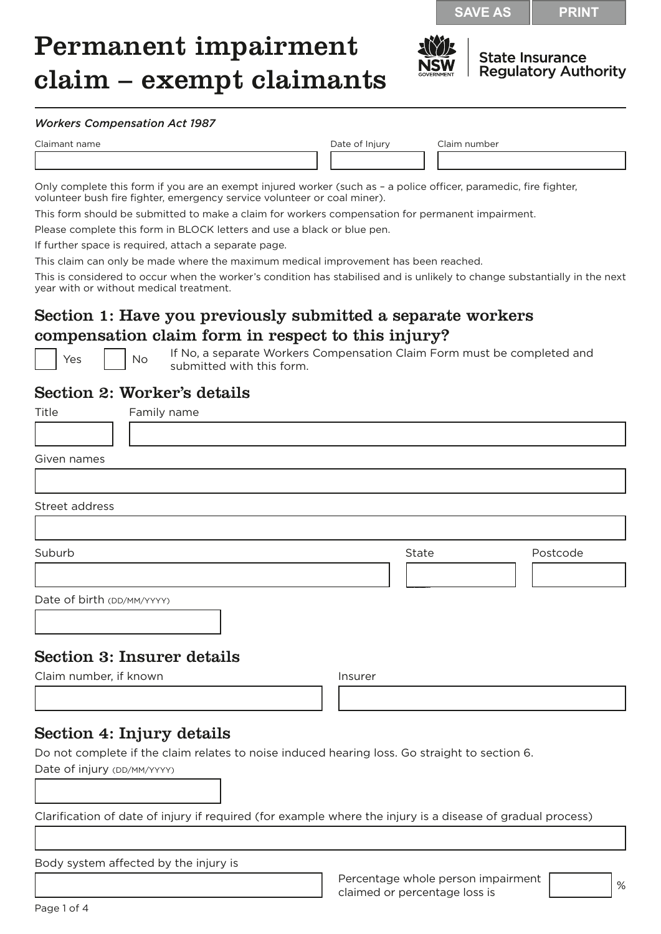**SAVE AS PRINT**

# Permanent impairment claim – exempt claimants



**State Insurance Regulatory Authority** 

#### *Workers Compensation Act 1987*

Claimant name Date of Injury Claim number

Only complete this form if you are an exempt injured worker (such as – a police officer, paramedic, fire fighter, volunteer bush fire fighter, emergency service volunteer or coal miner).

This form should be submitted to make a claim for workers compensation for permanent impairment.

Please complete this form in BLOCK letters and use a black or blue pen.

If further space is required, attach a separate page.

This claim can only be made where the maximum medical improvement has been reached.

This is considered to occur when the worker's condition has stabilised and is unlikely to change substantially in the next year with or without medical treatment.

# Section 1: Have you previously submitted a separate workers compensation claim form in respect to this injury?

Res No If No, a separate Workers Compensation Claim Form must be completed and submitted with this form.

#### Section 2: Worker's details

| Title                      | Family name                       |         |       |          |
|----------------------------|-----------------------------------|---------|-------|----------|
|                            |                                   |         |       |          |
| Given names                |                                   |         |       |          |
|                            |                                   |         |       |          |
| Street address             |                                   |         |       |          |
|                            |                                   |         |       |          |
| Suburb                     |                                   |         | State | Postcode |
|                            |                                   |         |       |          |
| Date of birth (DD/MM/YYYY) |                                   |         |       |          |
|                            |                                   |         |       |          |
|                            |                                   |         |       |          |
|                            | <b>Section 3: Insurer details</b> |         |       |          |
| Claim number, if known     |                                   | Insurer |       |          |
|                            |                                   |         |       |          |
|                            |                                   |         |       |          |

#### Section 4: Injury details

Do not complete if the claim relates to noise induced hearing loss. Go straight to section 6. Date of injury (DD/MM/YYYY)

Clarification of date of injury if required (for example where the injury is a disease of gradual process)

Body system affected by the injury is

Percentage whole person impairment Percentage whole person impairment<br>claimed or percentage loss is  $\sim$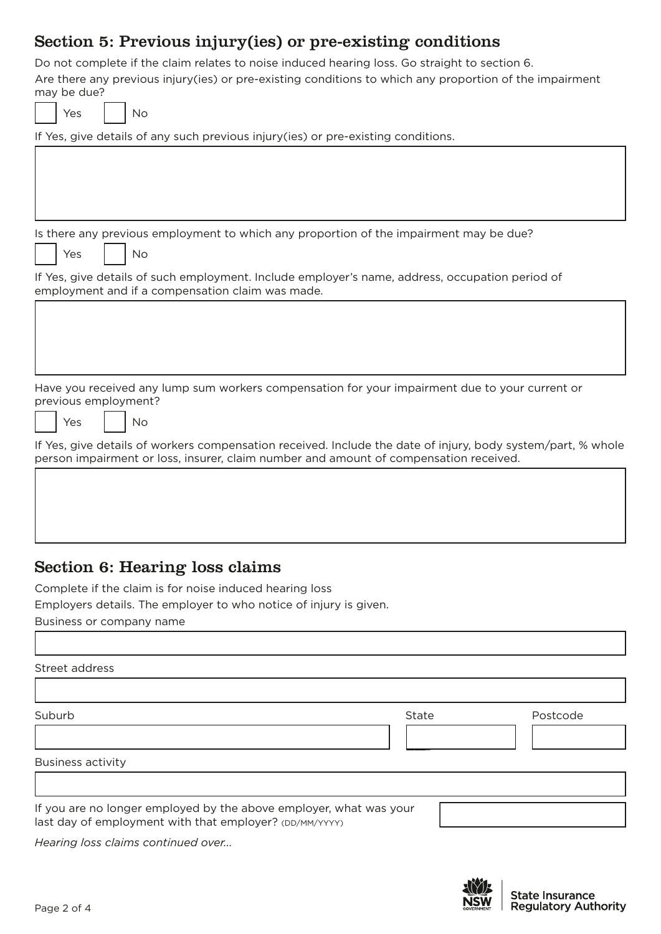# Section 5: Previous injury(ies) or pre-existing conditions

Do not complete if the claim relates to noise induced hearing loss. Go straight to section 6. Are there any previous injury(ies) or pre-existing conditions to which any proportion of the impairment may be due?

| Yes<br>No                                                                                                                                                                                             |
|-------------------------------------------------------------------------------------------------------------------------------------------------------------------------------------------------------|
| If Yes, give details of any such previous injury(ies) or pre-existing conditions.                                                                                                                     |
|                                                                                                                                                                                                       |
|                                                                                                                                                                                                       |
|                                                                                                                                                                                                       |
| Is there any previous employment to which any proportion of the impairment may be due?<br>No<br>Yes                                                                                                   |
| If Yes, give details of such employment. Include employer's name, address, occupation period of<br>employment and if a compensation claim was made.                                                   |
|                                                                                                                                                                                                       |
| Have you received any lump sum workers compensation for your impairment due to your current or<br>previous employment?<br><b>No</b><br>Yes                                                            |
| If Yes, give details of workers compensation received. Include the date of injury, body system/part, % whole<br>person impairment or loss, insurer, claim number and amount of compensation received. |
|                                                                                                                                                                                                       |

## Section 6: Hearing loss claims

Complete if the claim is for noise induced hearing loss

Employers details. The employer to who notice of injury is given.

Business or company name

#### Street address

ľ

| Suburb                   | State | Postcode |
|--------------------------|-------|----------|
|                          |       |          |
| <b>Business activity</b> |       |          |
|                          |       |          |

last day of employment with that employer? (DD/MM/YYYY)

*Hearing loss claims continued over...*

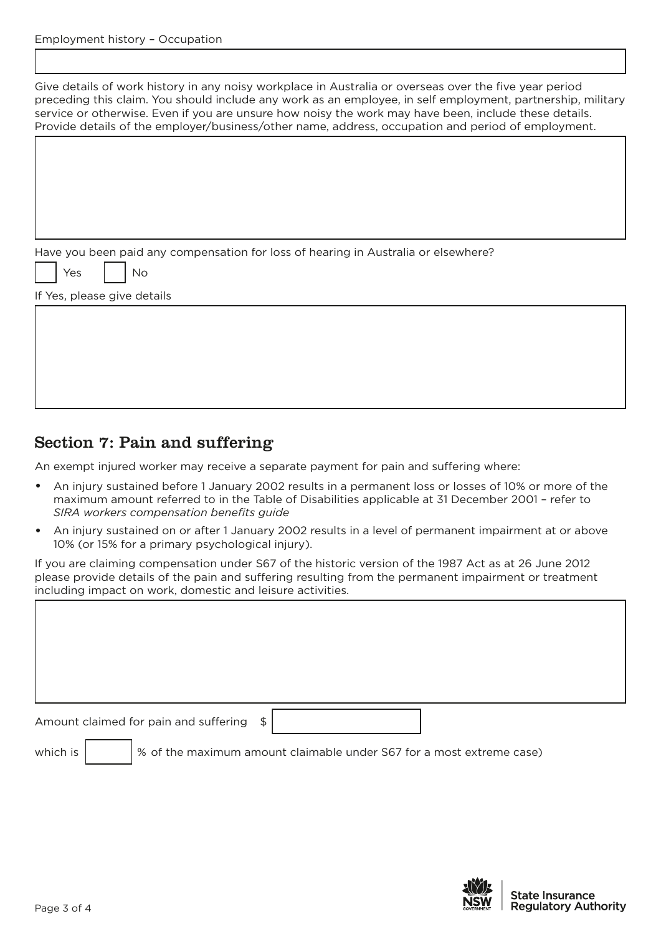Give details of work history in any noisy workplace in Australia or overseas over the five year period preceding this claim. You should include any work as an employee, in self employment, partnership, military service or otherwise. Even if you are unsure how noisy the work may have been, include these details. Provide details of the employer/business/other name, address, occupation and period of employment.

Have you been paid any compensation for loss of hearing in Australia or elsewhere?

'es | | No

If Yes, please give details

# Section 7: Pain and suffering

An exempt injured worker may receive a separate payment for pain and suffering where:

- An injury sustained before 1 January 2002 results in a permanent loss or losses of 10% or more of the maximum amount referred to in the Table of Disabilities applicable at 31 December 2001 – refer to *SIRA workers compensation benefits guide*
- An injury sustained on or after 1 January 2002 results in a level of permanent impairment at or above 10% (or 15% for a primary psychological injury).

If you are claiming compensation under S67 of the historic version of the 1987 Act as at 26 June 2012 please provide details of the pain and suffering resulting from the permanent impairment or treatment including impact on work, domestic and leisure activities.

Amount claimed for pain and suffering \$

which is  $\left| \right\rangle$  % of the maximum amount claimable under S67 for a most extreme case)